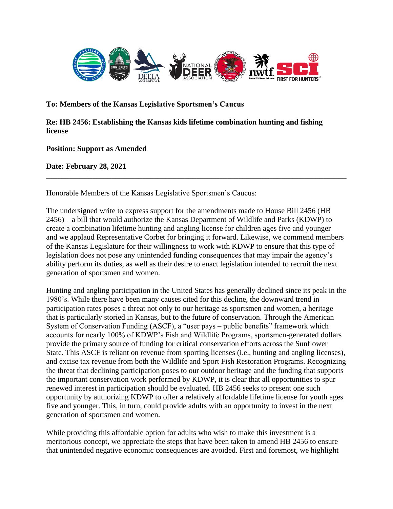

**To: Members of the Kansas Legislative Sportsmen's Caucus**

**Re: HB 2456: Establishing the Kansas kids lifetime combination hunting and fishing license**

**Position: Support as Amended**

**Date: February 28, 2021**

Honorable Members of the Kansas Legislative Sportsmen's Caucus:

The undersigned write to express support for the amendments made to House Bill 2456 (HB 2456) – a bill that would authorize the Kansas Department of Wildlife and Parks (KDWP) to create a combination lifetime hunting and angling license for children ages five and younger – and we applaud Representative Corbet for bringing it forward. Likewise, we commend members of the Kansas Legislature for their willingness to work with KDWP to ensure that this type of legislation does not pose any unintended funding consequences that may impair the agency's ability perform its duties, as well as their desire to enact legislation intended to recruit the next generation of sportsmen and women.

**\_\_\_\_\_\_\_\_\_\_\_\_\_\_\_\_\_\_\_\_\_\_\_\_\_\_\_\_\_\_\_\_\_\_\_\_\_\_\_\_\_\_\_\_\_\_\_\_\_\_\_\_\_\_\_\_\_\_\_\_\_\_\_\_\_\_\_\_\_\_\_\_\_\_\_\_\_\_**

Hunting and angling participation in the United States has generally declined since its peak in the 1980's. While there have been many causes cited for this decline, the downward trend in participation rates poses a threat not only to our heritage as sportsmen and women, a heritage that is particularly storied in Kansas, but to the future of conservation. Through the American System of Conservation Funding (ASCF), a "user pays – public benefits" framework which accounts for nearly 100% of KDWP's Fish and Wildlife Programs, sportsmen-generated dollars provide the primary source of funding for critical conservation efforts across the Sunflower State. This ASCF is reliant on revenue from sporting licenses (i.e., hunting and angling licenses), and excise tax revenue from both the Wildlife and Sport Fish Restoration Programs. Recognizing the threat that declining participation poses to our outdoor heritage and the funding that supports the important conservation work performed by KDWP, it is clear that all opportunities to spur renewed interest in participation should be evaluated. HB 2456 seeks to present one such opportunity by authorizing KDWP to offer a relatively affordable lifetime license for youth ages five and younger. This, in turn, could provide adults with an opportunity to invest in the next generation of sportsmen and women.

While providing this affordable option for adults who wish to make this investment is a meritorious concept, we appreciate the steps that have been taken to amend HB 2456 to ensure that unintended negative economic consequences are avoided. First and foremost, we highlight